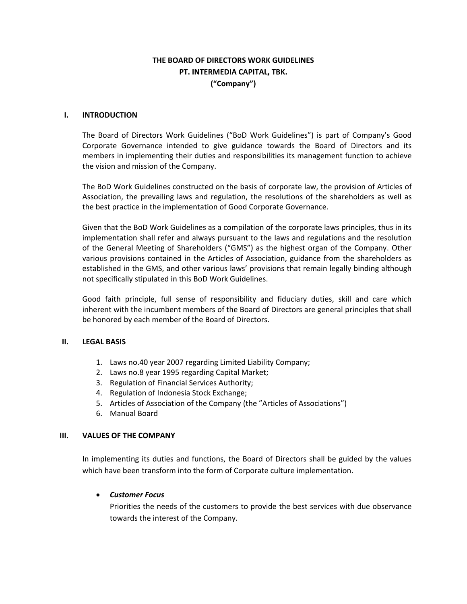# **THE BOARD OF DIRECTORS WORK GUIDELINES PT. INTERMEDIA CAPITAL, TBK. ("Company")**

#### **I. INTRODUCTION**

The Board of Directors Work Guidelines ("BoD Work Guidelines") is part of Company's Good Corporate Governance intended to give guidance towards the Board of Directors and its members in implementing their duties and responsibilities its management function to achieve the vision and mission of the Company.

The BoD Work Guidelines constructed on the basis of corporate law, the provision of Articles of Association, the prevailing laws and regulation, the resolutions of the shareholders as well as the best practice in the implementation of Good Corporate Governance.

Given that the BoD Work Guidelines as a compilation of the corporate laws principles, thus in its implementation shall refer and always pursuant to the laws and regulations and the resolution of the General Meeting of Shareholders ("GMS") as the highest organ of the Company. Other various provisions contained in the Articles of Association, guidance from the shareholders as established in the GMS, and other various laws' provisions that remain legally binding although not specifically stipulated in this BoD Work Guidelines.

Good faith principle, full sense of responsibility and fiduciary duties, skill and care which inherent with the incumbent members of the Board of Directors are general principles that shall be honored by each member of the Board of Directors.

## **II. LEGAL BASIS**

- 1. Laws no.40 year 2007 regarding Limited Liability Company;
- 2. Laws no.8 year 1995 regarding Capital Market;
- 3. Regulation of Financial Services Authority;
- 4. Regulation of Indonesia Stock Exchange;
- 5. Articles of Association of the Company (the "Articles of Associations")
- 6. Manual Board

#### **III. VALUES OF THE COMPANY**

In implementing its duties and functions, the Board of Directors shall be guided by the values which have been transform into the form of Corporate culture implementation.

## *Customer Focus*

Priorities the needs of the customers to provide the best services with due observance towards the interest of the Company.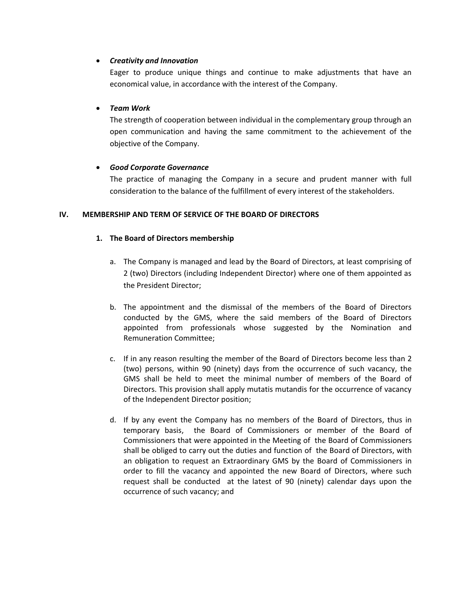## *Creativity and Innovation*

Eager to produce unique things and continue to make adjustments that have an economical value, in accordance with the interest of the Company.

## *Team Work*

The strength of cooperation between individual in the complementary group through an open communication and having the same commitment to the achievement of the objective of the Company.

## *Good Corporate Governance*

The practice of managing the Company in a secure and prudent manner with full consideration to the balance of the fulfillment of every interest of the stakeholders.

## **IV. MEMBERSHIP AND TERM OF SERVICE OF THE BOARD OF DIRECTORS**

## **1. The Board of Directors membership**

- a. The Company is managed and lead by the Board of Directors, at least comprising of 2 (two) Directors (including Independent Director) where one of them appointed as the President Director;
- b. The appointment and the dismissal of the members of the Board of Directors conducted by the GMS, where the said members of the Board of Directors appointed from professionals whose suggested by the Nomination and Remuneration Committee;
- c. If in any reason resulting the member of the Board of Directors become less than 2 (two) persons, within 90 (ninety) days from the occurrence of such vacancy, the GMS shall be held to meet the minimal number of members of the Board of Directors. This provision shall apply mutatis mutandis for the occurrence of vacancy of the Independent Director position;
- d. If by any event the Company has no members of the Board of Directors, thus in temporary basis, the Board of Commissioners or member of the Board of Commissioners that were appointed in the Meeting of the Board of Commissioners shall be obliged to carry out the duties and function of the Board of Directors, with an obligation to request an Extraordinary GMS by the Board of Commissioners in order to fill the vacancy and appointed the new Board of Directors, where such request shall be conducted at the latest of 90 (ninety) calendar days upon the occurrence of such vacancy; and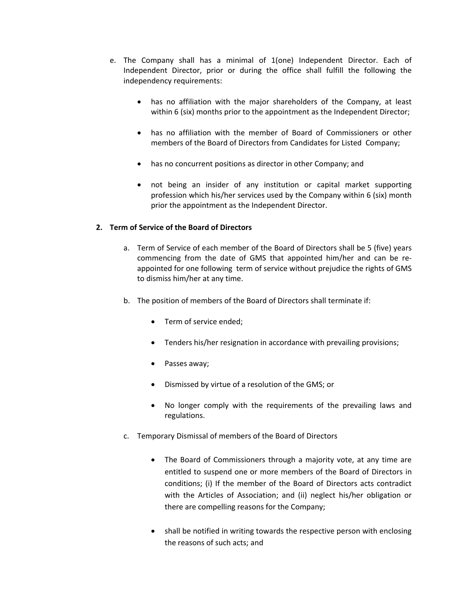- e. The Company shall has a minimal of 1(one) Independent Director. Each of Independent Director, prior or during the office shall fulfill the following the independency requirements:
	- has no affiliation with the major shareholders of the Company, at least within 6 (six) months prior to the appointment as the Independent Director;
	- has no affiliation with the member of Board of Commissioners or other members of the Board of Directors from Candidates for Listed Company;
	- has no concurrent positions as director in other Company; and
	- not being an insider of any institution or capital market supporting profession which his/her services used by the Company within 6 (six) month prior the appointment as the Independent Director.

## **2. Term of Service of the Board of Directors**

- a. Term of Service of each member of the Board of Directors shall be 5 (five) years commencing from the date of GMS that appointed him/her and can be reappointed for one following term of service without prejudice the rights of GMS to dismiss him/her at any time.
- b. The position of members of the Board of Directors shall terminate if:
	- Term of service ended;
	- Tenders his/her resignation in accordance with prevailing provisions;
	- Passes away;
	- Dismissed by virtue of a resolution of the GMS; or
	- No longer comply with the requirements of the prevailing laws and regulations.
- c. Temporary Dismissal of members of the Board of Directors
	- The Board of Commissioners through a majority vote, at any time are entitled to suspend one or more members of the Board of Directors in conditions; (i) If the member of the Board of Directors acts contradict with the Articles of Association; and (ii) neglect his/her obligation or there are compelling reasons for the Company;
	- shall be notified in writing towards the respective person with enclosing the reasons of such acts; and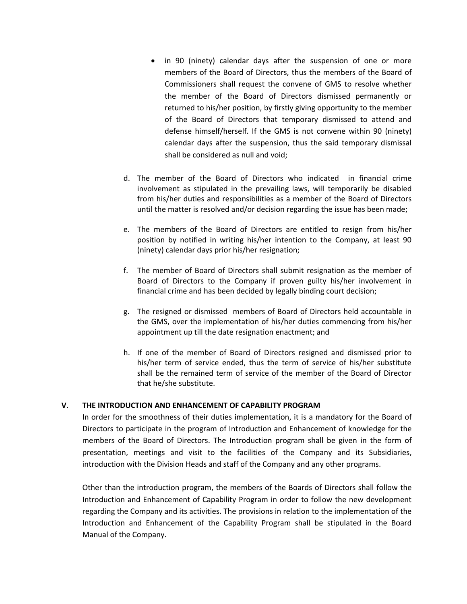- in 90 (ninety) calendar days after the suspension of one or more members of the Board of Directors, thus the members of the Board of Commissioners shall request the convene of GMS to resolve whether the member of the Board of Directors dismissed permanently or returned to his/her position, by firstly giving opportunity to the member of the Board of Directors that temporary dismissed to attend and defense himself/herself. If the GMS is not convene within 90 (ninety) calendar days after the suspension, thus the said temporary dismissal shall be considered as null and void;
- d. The member of the Board of Directors who indicated in financial crime involvement as stipulated in the prevailing laws, will temporarily be disabled from his/her duties and responsibilities as a member of the Board of Directors until the matter is resolved and/or decision regarding the issue has been made;
- e. The members of the Board of Directors are entitled to resign from his/her position by notified in writing his/her intention to the Company, at least 90 (ninety) calendar days prior his/her resignation;
- f. The member of Board of Directors shall submit resignation as the member of Board of Directors to the Company if proven guilty his/her involvement in financial crime and has been decided by legally binding court decision;
- g. The resigned or dismissed members of Board of Directors held accountable in the GMS, over the implementation of his/her duties commencing from his/her appointment up till the date resignation enactment; and
- h. If one of the member of Board of Directors resigned and dismissed prior to his/her term of service ended, thus the term of service of his/her substitute shall be the remained term of service of the member of the Board of Director that he/she substitute.

## **V. THE INTRODUCTION AND ENHANCEMENT OF CAPABILITY PROGRAM**

In order for the smoothness of their duties implementation, it is a mandatory for the Board of Directors to participate in the program of Introduction and Enhancement of knowledge for the members of the Board of Directors. The Introduction program shall be given in the form of presentation, meetings and visit to the facilities of the Company and its Subsidiaries, introduction with the Division Heads and staff of the Company and any other programs.

Other than the introduction program, the members of the Boards of Directors shall follow the Introduction and Enhancement of Capability Program in order to follow the new development regarding the Company and its activities. The provisions in relation to the implementation of the Introduction and Enhancement of the Capability Program shall be stipulated in the Board Manual of the Company.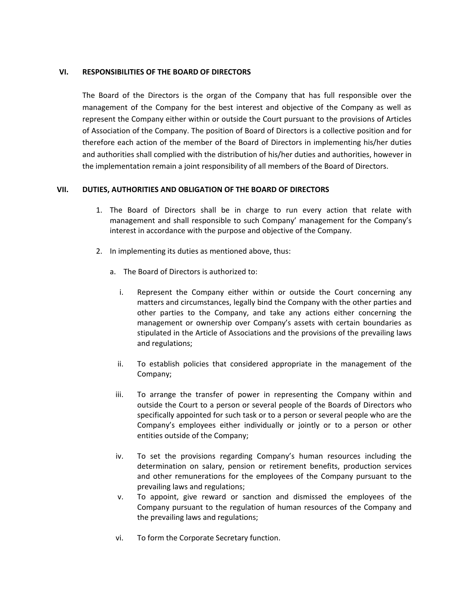## **VI. RESPONSIBILITIES OF THE BOARD OF DIRECTORS**

The Board of the Directors is the organ of the Company that has full responsible over the management of the Company for the best interest and objective of the Company as well as represent the Company either within or outside the Court pursuant to the provisions of Articles of Association of the Company. The position of Board of Directors is a collective position and for therefore each action of the member of the Board of Directors in implementing his/her duties and authorities shall complied with the distribution of his/her duties and authorities, however in the implementation remain a joint responsibility of all members of the Board of Directors.

## **VII. DUTIES, AUTHORITIES AND OBLIGATION OF THE BOARD OF DIRECTORS**

- 1. The Board of Directors shall be in charge to run every action that relate with management and shall responsible to such Company' management for the Company's interest in accordance with the purpose and objective of the Company.
- 2. In implementing its duties as mentioned above, thus:
	- a. The Board of Directors is authorized to:
		- i. Represent the Company either within or outside the Court concerning any matters and circumstances, legally bind the Company with the other parties and other parties to the Company, and take any actions either concerning the management or ownership over Company's assets with certain boundaries as stipulated in the Article of Associations and the provisions of the prevailing laws and regulations;
		- ii. To establish policies that considered appropriate in the management of the Company;
		- iii. To arrange the transfer of power in representing the Company within and outside the Court to a person or several people of the Boards of Directors who specifically appointed for such task or to a person or several people who are the Company's employees either individually or jointly or to a person or other entities outside of the Company;
		- iv. To set the provisions regarding Company's human resources including the determination on salary, pension or retirement benefits, production services and other remunerations for the employees of the Company pursuant to the prevailing laws and regulations;
		- v. To appoint, give reward or sanction and dismissed the employees of the Company pursuant to the regulation of human resources of the Company and the prevailing laws and regulations;
		- vi. To form the Corporate Secretary function.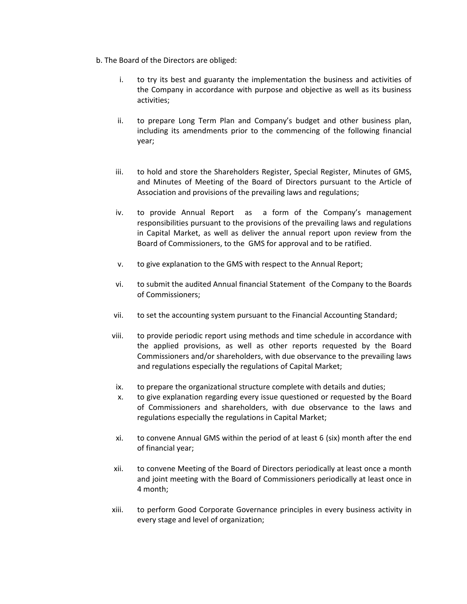- b. The Board of the Directors are obliged:
	- i. to try its best and guaranty the implementation the business and activities of the Company in accordance with purpose and objective as well as its business activities;
	- ii. to prepare Long Term Plan and Company's budget and other business plan, including its amendments prior to the commencing of the following financial year;
	- iii. to hold and store the Shareholders Register, Special Register, Minutes of GMS, and Minutes of Meeting of the Board of Directors pursuant to the Article of Association and provisions of the prevailing laws and regulations;
	- iv. to provide Annual Report as a form of the Company's management responsibilities pursuant to the provisions of the prevailing laws and regulations in Capital Market, as well as deliver the annual report upon review from the Board of Commissioners, to the GMS for approval and to be ratified.
	- v. to give explanation to the GMS with respect to the Annual Report;
	- vi. to submit the audited Annual financial Statement of the Company to the Boards of Commissioners;
	- vii. to set the accounting system pursuant to the Financial Accounting Standard;
	- viii. to provide periodic report using methods and time schedule in accordance with the applied provisions, as well as other reports requested by the Board Commissioners and/or shareholders, with due observance to the prevailing laws and regulations especially the regulations of Capital Market;
	- ix. to prepare the organizational structure complete with details and duties;
	- x. to give explanation regarding every issue questioned or requested by the Board of Commissioners and shareholders, with due observance to the laws and regulations especially the regulations in Capital Market;
	- xi. to convene Annual GMS within the period of at least 6 (six) month after the end of financial year;
	- xii. to convene Meeting of the Board of Directors periodically at least once a month and joint meeting with the Board of Commissioners periodically at least once in 4 month;
	- xiii. to perform Good Corporate Governance principles in every business activity in every stage and level of organization;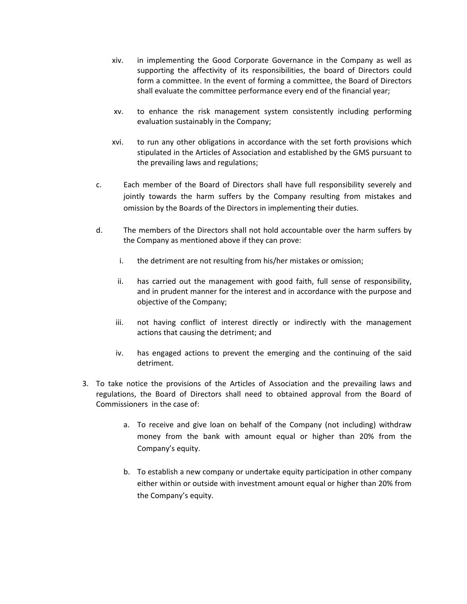- xiv. in implementing the Good Corporate Governance in the Company as well as supporting the affectivity of its responsibilities, the board of Directors could form a committee. In the event of forming a committee, the Board of Directors shall evaluate the committee performance every end of the financial year;
- xv. to enhance the risk management system consistently including performing evaluation sustainably in the Company;
- xvi. to run any other obligations in accordance with the set forth provisions which stipulated in the Articles of Association and established by the GMS pursuant to the prevailing laws and regulations;
- c. Each member of the Board of Directors shall have full responsibility severely and jointly towards the harm suffers by the Company resulting from mistakes and omission by the Boards of the Directors in implementing their duties.
- d. The members of the Directors shall not hold accountable over the harm suffers by the Company as mentioned above if they can prove:
	- i. the detriment are not resulting from his/her mistakes or omission;
	- ii. has carried out the management with good faith, full sense of responsibility, and in prudent manner for the interest and in accordance with the purpose and objective of the Company;
	- iii. not having conflict of interest directly or indirectly with the management actions that causing the detriment; and
	- iv. has engaged actions to prevent the emerging and the continuing of the said detriment.
- 3. To take notice the provisions of the Articles of Association and the prevailing laws and regulations, the Board of Directors shall need to obtained approval from the Board of Commissioners in the case of:
	- a. To receive and give loan on behalf of the Company (not including) withdraw money from the bank with amount equal or higher than 20% from the Company's equity.
	- b. To establish a new company or undertake equity participation in other company either within or outside with investment amount equal or higher than 20% from the Company's equity.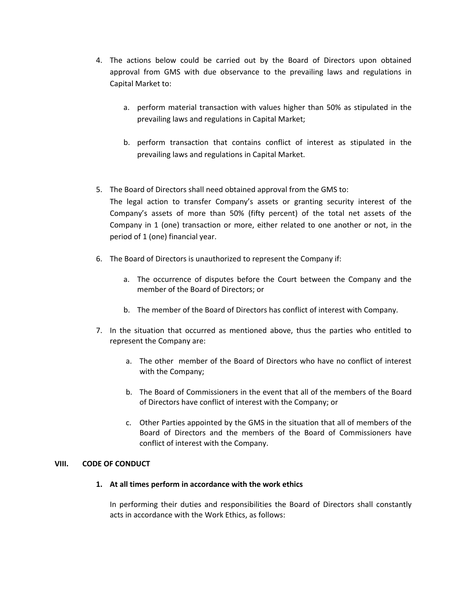- 4. The actions below could be carried out by the Board of Directors upon obtained approval from GMS with due observance to the prevailing laws and regulations in Capital Market to:
	- a. perform material transaction with values higher than 50% as stipulated in the prevailing laws and regulations in Capital Market;
	- b. perform transaction that contains conflict of interest as stipulated in the prevailing laws and regulations in Capital Market.
- 5. The Board of Directors shall need obtained approval from the GMS to: The legal action to transfer Company's assets or granting security interest of the Company's assets of more than 50% (fifty percent) of the total net assets of the Company in 1 (one) transaction or more, either related to one another or not, in the period of 1 (one) financial year.
- 6. The Board of Directors is unauthorized to represent the Company if:
	- a. The occurrence of disputes before the Court between the Company and the member of the Board of Directors; or
	- b. The member of the Board of Directors has conflict of interest with Company.
- 7. In the situation that occurred as mentioned above, thus the parties who entitled to represent the Company are:
	- a. The other member of the Board of Directors who have no conflict of interest with the Company;
	- b. The Board of Commissioners in the event that all of the members of the Board of Directors have conflict of interest with the Company; or
	- c. Other Parties appointed by the GMS in the situation that all of members of the Board of Directors and the members of the Board of Commissioners have conflict of interest with the Company.

## **VIII. CODE OF CONDUCT**

## **1. At all times perform in accordance with the work ethics**

In performing their duties and responsibilities the Board of Directors shall constantly acts in accordance with the Work Ethics, as follows: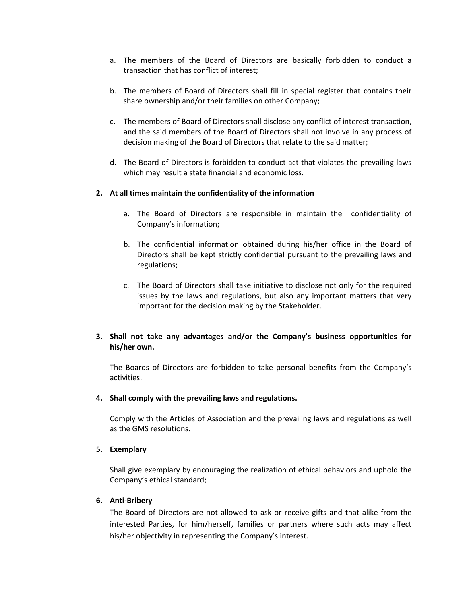- a. The members of the Board of Directors are basically forbidden to conduct a transaction that has conflict of interest;
- b. The members of Board of Directors shall fill in special register that contains their share ownership and/or their families on other Company;
- c. The members of Board of Directors shall disclose any conflict of interest transaction, and the said members of the Board of Directors shall not involve in any process of decision making of the Board of Directors that relate to the said matter;
- d. The Board of Directors is forbidden to conduct act that violates the prevailing laws which may result a state financial and economic loss.

## **2. At all times maintain the confidentiality of the information**

- a. The Board of Directors are responsible in maintain the confidentiality of Company's information;
- b. The confidential information obtained during his/her office in the Board of Directors shall be kept strictly confidential pursuant to the prevailing laws and regulations;
- c. The Board of Directors shall take initiative to disclose not only for the required issues by the laws and regulations, but also any important matters that very important for the decision making by the Stakeholder.

## **3. Shall not take any advantages and/or the Company's business opportunities for his/her own.**

The Boards of Directors are forbidden to take personal benefits from the Company's activities.

#### **4. Shall comply with the prevailing laws and regulations.**

Comply with the Articles of Association and the prevailing laws and regulations as well as the GMS resolutions.

#### **5. Exemplary**

Shall give exemplary by encouraging the realization of ethical behaviors and uphold the Company's ethical standard;

#### **6. Anti-Bribery**

The Board of Directors are not allowed to ask or receive gifts and that alike from the interested Parties, for him/herself, families or partners where such acts may affect his/her objectivity in representing the Company's interest.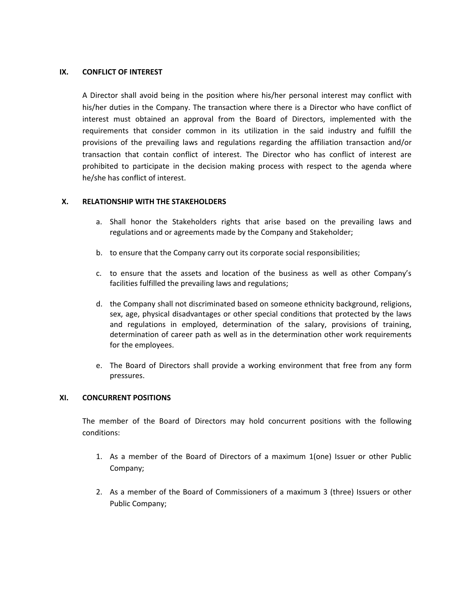### **IX. CONFLICT OF INTEREST**

A Director shall avoid being in the position where his/her personal interest may conflict with his/her duties in the Company. The transaction where there is a Director who have conflict of interest must obtained an approval from the Board of Directors, implemented with the requirements that consider common in its utilization in the said industry and fulfill the provisions of the prevailing laws and regulations regarding the affiliation transaction and/or transaction that contain conflict of interest. The Director who has conflict of interest are prohibited to participate in the decision making process with respect to the agenda where he/she has conflict of interest.

## **X. RELATIONSHIP WITH THE STAKEHOLDERS**

- a. Shall honor the Stakeholders rights that arise based on the prevailing laws and regulations and or agreements made by the Company and Stakeholder;
- b. to ensure that the Company carry out its corporate social responsibilities;
- c. to ensure that the assets and location of the business as well as other Company's facilities fulfilled the prevailing laws and regulations;
- d. the Company shall not discriminated based on someone ethnicity background, religions, sex, age, physical disadvantages or other special conditions that protected by the laws and regulations in employed, determination of the salary, provisions of training, determination of career path as well as in the determination other work requirements for the employees.
- e. The Board of Directors shall provide a working environment that free from any form pressures.

## **XI. CONCURRENT POSITIONS**

The member of the Board of Directors may hold concurrent positions with the following conditions:

- 1. As a member of the Board of Directors of a maximum 1(one) Issuer or other Public Company;
- 2. As a member of the Board of Commissioners of a maximum 3 (three) Issuers or other Public Company;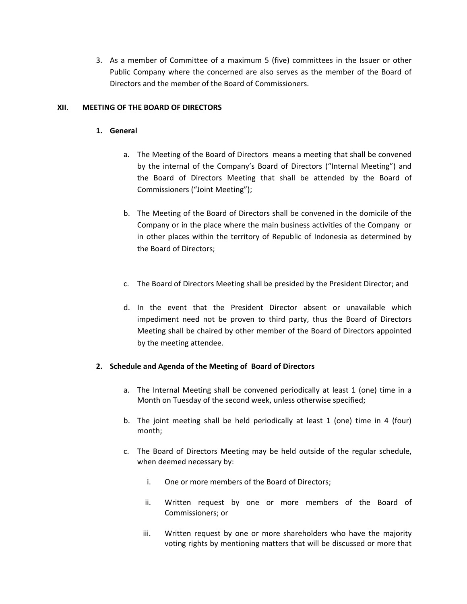3. As a member of Committee of a maximum 5 (five) committees in the Issuer or other Public Company where the concerned are also serves as the member of the Board of Directors and the member of the Board of Commissioners.

## **XII. MEETING OF THE BOARD OF DIRECTORS**

## **1. General**

- a. The Meeting of the Board of Directors means a meeting that shall be convened by the internal of the Company's Board of Directors ("Internal Meeting") and the Board of Directors Meeting that shall be attended by the Board of Commissioners ("Joint Meeting");
- b. The Meeting of the Board of Directors shall be convened in the domicile of the Company or in the place where the main business activities of the Company or in other places within the territory of Republic of Indonesia as determined by the Board of Directors;
- c. The Board of Directors Meeting shall be presided by the President Director; and
- d. In the event that the President Director absent or unavailable which impediment need not be proven to third party, thus the Board of Directors Meeting shall be chaired by other member of the Board of Directors appointed by the meeting attendee.

## **2. Schedule and Agenda of the Meeting of Board of Directors**

- a. The Internal Meeting shall be convened periodically at least 1 (one) time in a Month on Tuesday of the second week, unless otherwise specified;
- b. The joint meeting shall be held periodically at least 1 (one) time in 4 (four) month;
- c. The Board of Directors Meeting may be held outside of the regular schedule, when deemed necessary by:
	- i. One or more members of the Board of Directors;
	- ii. Written request by one or more members of the Board of Commissioners; or
	- iii. Written request by one or more shareholders who have the majority voting rights by mentioning matters that will be discussed or more that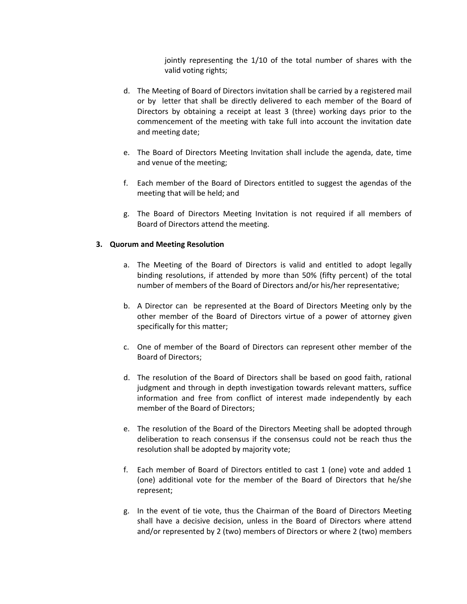jointly representing the 1/10 of the total number of shares with the valid voting rights;

- d. The Meeting of Board of Directors invitation shall be carried by a registered mail or by letter that shall be directly delivered to each member of the Board of Directors by obtaining a receipt at least 3 (three) working days prior to the commencement of the meeting with take full into account the invitation date and meeting date;
- e. The Board of Directors Meeting Invitation shall include the agenda, date, time and venue of the meeting;
- f. Each member of the Board of Directors entitled to suggest the agendas of the meeting that will be held; and
- g. The Board of Directors Meeting Invitation is not required if all members of Board of Directors attend the meeting.

#### **3. Quorum and Meeting Resolution**

- a. The Meeting of the Board of Directors is valid and entitled to adopt legally binding resolutions, if attended by more than 50% (fifty percent) of the total number of members of the Board of Directors and/or his/her representative;
- b. A Director can be represented at the Board of Directors Meeting only by the other member of the Board of Directors virtue of a power of attorney given specifically for this matter;
- c. One of member of the Board of Directors can represent other member of the Board of Directors;
- d. The resolution of the Board of Directors shall be based on good faith, rational judgment and through in depth investigation towards relevant matters, suffice information and free from conflict of interest made independently by each member of the Board of Directors;
- e. The resolution of the Board of the Directors Meeting shall be adopted through deliberation to reach consensus if the consensus could not be reach thus the resolution shall be adopted by majority vote;
- f. Each member of Board of Directors entitled to cast 1 (one) vote and added 1 (one) additional vote for the member of the Board of Directors that he/she represent;
- g. In the event of tie vote, thus the Chairman of the Board of Directors Meeting shall have a decisive decision, unless in the Board of Directors where attend and/or represented by 2 (two) members of Directors or where 2 (two) members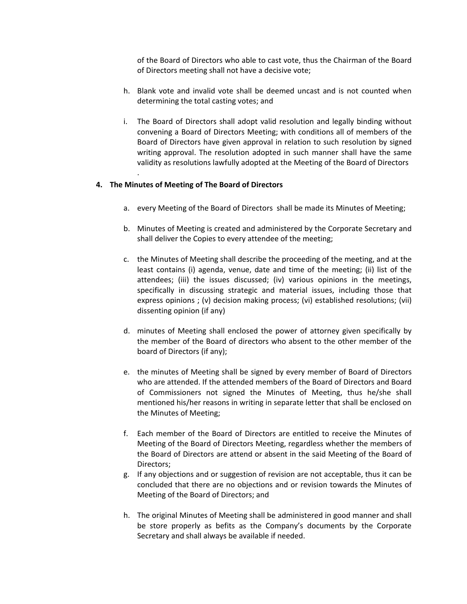of the Board of Directors who able to cast vote, thus the Chairman of the Board of Directors meeting shall not have a decisive vote;

- h. Blank vote and invalid vote shall be deemed uncast and is not counted when determining the total casting votes; and
- i. The Board of Directors shall adopt valid resolution and legally binding without convening a Board of Directors Meeting; with conditions all of members of the Board of Directors have given approval in relation to such resolution by signed writing approval. The resolution adopted in such manner shall have the same validity as resolutions lawfully adopted at the Meeting of the Board of Directors

## **4. The Minutes of Meeting of The Board of Directors**

.

- a. every Meeting of the Board of Directors shall be made its Minutes of Meeting;
- b. Minutes of Meeting is created and administered by the Corporate Secretary and shall deliver the Copies to every attendee of the meeting;
- c. the Minutes of Meeting shall describe the proceeding of the meeting, and at the least contains (i) agenda, venue, date and time of the meeting; (ii) list of the attendees; (iii) the issues discussed; (iv) various opinions in the meetings, specifically in discussing strategic and material issues, including those that express opinions ; (v) decision making process; (vi) established resolutions; (vii) dissenting opinion (if any)
- d. minutes of Meeting shall enclosed the power of attorney given specifically by the member of the Board of directors who absent to the other member of the board of Directors (if any);
- e. the minutes of Meeting shall be signed by every member of Board of Directors who are attended. If the attended members of the Board of Directors and Board of Commissioners not signed the Minutes of Meeting, thus he/she shall mentioned his/her reasons in writing in separate letter that shall be enclosed on the Minutes of Meeting;
- f. Each member of the Board of Directors are entitled to receive the Minutes of Meeting of the Board of Directors Meeting, regardless whether the members of the Board of Directors are attend or absent in the said Meeting of the Board of Directors;
- g. If any objections and or suggestion of revision are not acceptable, thus it can be concluded that there are no objections and or revision towards the Minutes of Meeting of the Board of Directors; and
- h. The original Minutes of Meeting shall be administered in good manner and shall be store properly as befits as the Company's documents by the Corporate Secretary and shall always be available if needed.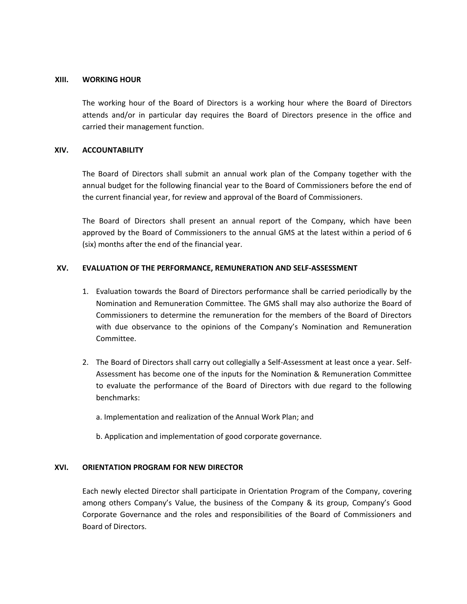#### **XIII. WORKING HOUR**

The working hour of the Board of Directors is a working hour where the Board of Directors attends and/or in particular day requires the Board of Directors presence in the office and carried their management function.

#### **XIV. ACCOUNTABILITY**

The Board of Directors shall submit an annual work plan of the Company together with the annual budget for the following financial year to the Board of Commissioners before the end of the current financial year, for review and approval of the Board of Commissioners.

The Board of Directors shall present an annual report of the Company, which have been approved by the Board of Commissioners to the annual GMS at the latest within a period of 6 (six) months after the end of the financial year.

#### **XV. EVALUATION OF THE PERFORMANCE, REMUNERATION AND SELF-ASSESSMENT**

- 1. Evaluation towards the Board of Directors performance shall be carried periodically by the Nomination and Remuneration Committee. The GMS shall may also authorize the Board of Commissioners to determine the remuneration for the members of the Board of Directors with due observance to the opinions of the Company's Nomination and Remuneration Committee.
- 2. The Board of Directors shall carry out collegially a Self-Assessment at least once a year. Self-Assessment has become one of the inputs for the Nomination & Remuneration Committee to evaluate the performance of the Board of Directors with due regard to the following benchmarks:
	- a. Implementation and realization of the Annual Work Plan; and
	- b. Application and implementation of good corporate governance.

## **XVI. ORIENTATION PROGRAM FOR NEW DIRECTOR**

Each newly elected Director shall participate in Orientation Program of the Company, covering among others Company's Value, the business of the Company & its group, Company's Good Corporate Governance and the roles and responsibilities of the Board of Commissioners and Board of Directors.